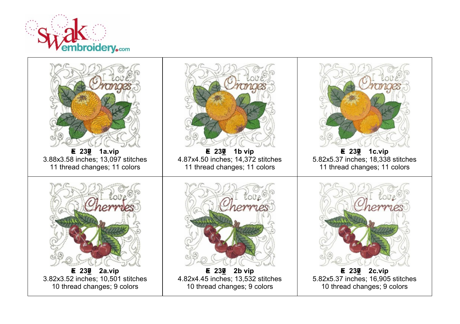

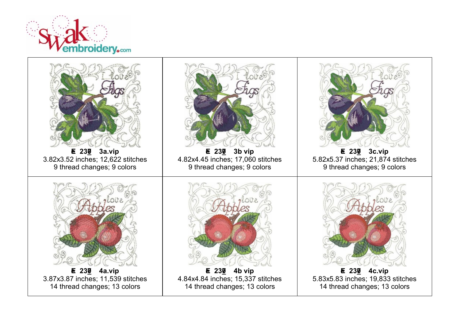